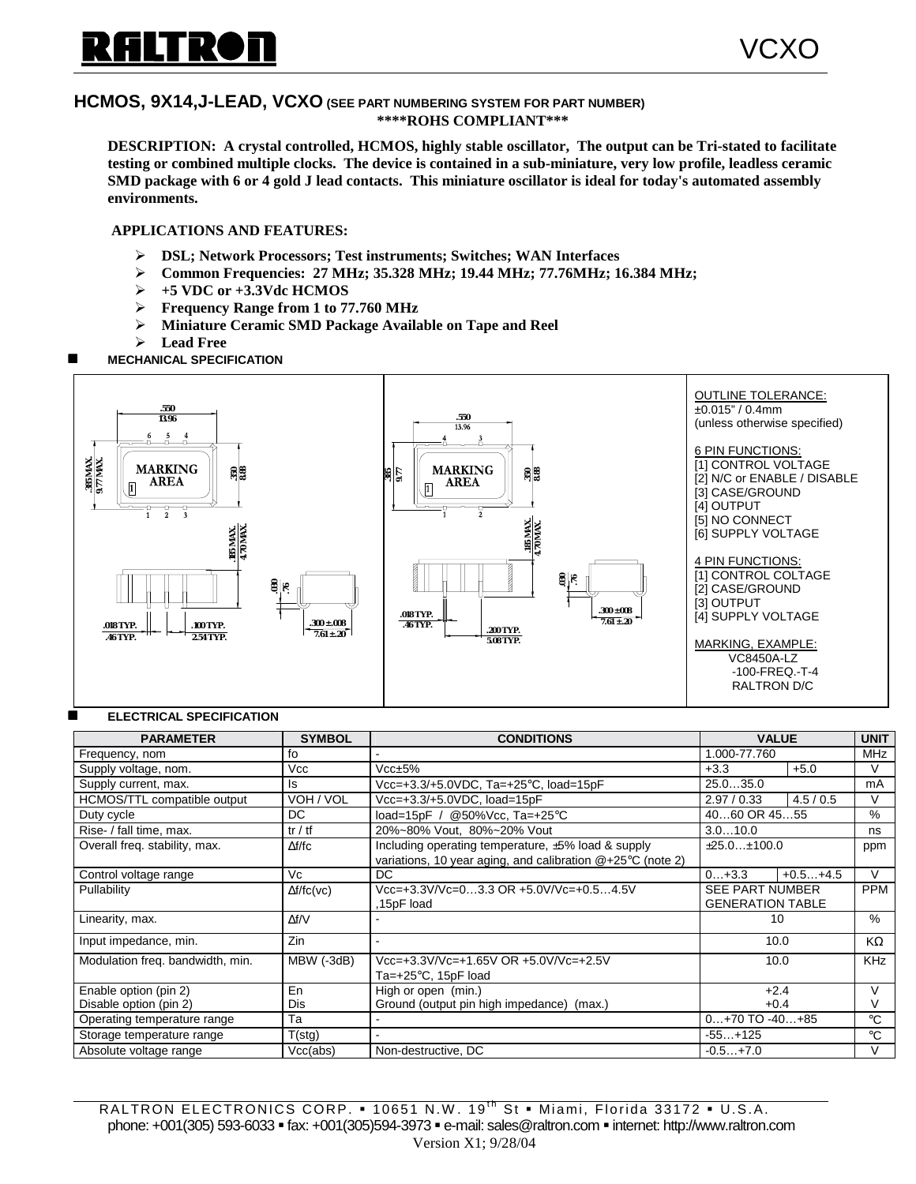# **ILTRON**

VCXO

## **HCMOS, 9X14,J-LEAD, VCXO (SEE PART NUMBERING SYSTEM FOR PART NUMBER) \*\*\*\*ROHS COMPLIANT\*\*\***

**DESCRIPTION: A crystal controlled, HCMOS, highly stable oscillator, The output can be Tri-stated to facilitate testing or combined multiple clocks. The device is contained in a sub-miniature, very low profile, leadless ceramic SMD package with 6 or 4 gold J lead contacts. This miniature oscillator is ideal for today's automated assembly environments.**

## **APPLICATIONS AND FEATURES:**

- " **DSL; Network Processors; Test instruments; Switches; WAN Interfaces**
- " **Common Frequencies: 27 MHz; 35.328 MHz; 19.44 MHz; 77.76MHz; 16.384 MHz;**
- " **+5 VDC or +3.3Vdc HCMOS**
- " **Frequency Range from 1 to 77.760 MHz**
- " **Miniature Ceramic SMD Package Available on Tape and Reel**
- $\blacktriangleright$  Lead Free
- **MECHANICAL SPECIFICATION**



#### **ELECTRICAL SPECIFICATION**

| <b>PARAMETER</b>                 | <b>SYMBOL</b>         | <b>CONDITIONS</b>                                            |                         | <b>VALUE</b> |             |
|----------------------------------|-----------------------|--------------------------------------------------------------|-------------------------|--------------|-------------|
| Frequency, nom                   | fo                    |                                                              | 1.000-77.760            |              | <b>MHz</b>  |
| Supply voltage, nom.             | Vcc                   | $Vcc \pm 5%$                                                 | $+3.3$                  | $+5.0$       | V           |
| Supply current, max.             | ls                    | 25.035.0<br>Vcc=+3.3/+5.0VDC, Ta=+25°C, load=15pF            |                         |              | mA          |
| HCMOS/TTL compatible output      | VOH / VOL             | Vcc=+3.3/+5.0VDC, load=15pF                                  | 2.97/0.33               | 4.5/0.5      | V           |
| Duty cycle                       | DC.                   | load=15pF / @50%Vcc, Ta=+25°C                                | 4060 OR 4555            | %            |             |
| Rise- / fall time, max.          | tr / tf               | 20%~80% Vout, 80%~20% Vout                                   | 3.010.0                 | ns           |             |
| Overall freq. stability, max.    | $\Delta f/fc$         | Including operating temperature, ±5% load & supply           | ±25.0±100.0             |              | ppm         |
|                                  |                       | variations, 10 year aging, and calibration $@+25°C$ (note 2) |                         |              |             |
| Control voltage range            | Vc                    | DC                                                           | $0+3.3$                 | $+0.5+4.5$   | $\vee$      |
| Pullability                      | $\Delta f / f C$ (vc) | Vcc=+3.3V/Vc=03.3 OR +5.0V/Vc=+0.54.5V                       | <b>SEE PART NUMBER</b>  |              | <b>PPM</b>  |
|                                  |                       | 15pF load                                                    | <b>GENERATION TABLE</b> |              |             |
| Linearity, max.                  | $\Delta f/V$          |                                                              |                         | 10           |             |
| Input impedance, min.            | Zin                   |                                                              | 10.0                    |              | KΩ          |
| Modulation freq. bandwidth, min. | MBW (-3dB)            | Vcc=+3.3V/Vc=+1.65V OR +5.0V/Vc=+2.5V                        | 10.0                    |              | <b>KHz</b>  |
|                                  |                       | Ta= $+25^{\circ}$ C, 15pF load                               |                         |              |             |
| Enable option (pin 2)            | En                    | High or open (min.)                                          | $+2.4$                  |              | $\vee$      |
| Disable option (pin 2)           | Dis                   | Ground (output pin high impedance) (max.)                    | $+0.4$                  |              | V           |
| Operating temperature range      | Тa                    |                                                              | $0+70$ TO $-40+85$      |              | $^{\circ}C$ |
| Storage temperature range        | T(stg)                |                                                              | $-55+125$               |              | $^{\circ}C$ |
| Absolute voltage range           | Vcc(abs)              | Non-destructive, DC                                          | $-0.5+7.0$              |              | V           |